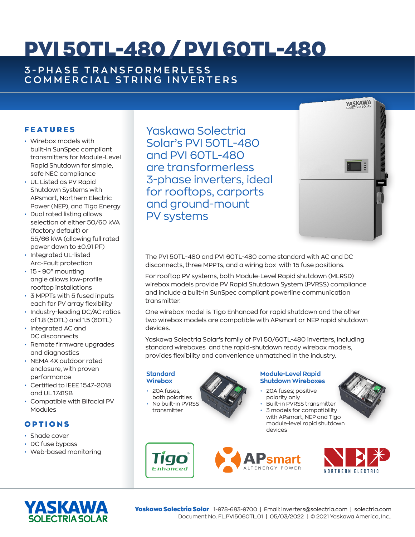# PVI 50TL-480 / PVI 60TL-480

## **3 - P H A S E T R A N S F O R M E R L E S S COMMERCIAL STRING INVERTERS**

## **FEATURES**

- Wirebox models with built-in SunSpec compliant transmitters for Module-Level Rapid Shutdown for simple, safe NEC compliance
- UL Listed as PV Rapid Shutdown Systems with APsmart, Northern Electric Power (NEP), and Tigo Energy
- Dual rated listing allows selection of either 50/60 kVA (factory default) or 55/66 kVA (allowing full rated power down to ±0.91 PF)
- Integrated UL-listed Arc-Fault protection
- 15 90° mounting angle allows low-profile rooftop installations
- 3 MPPTs with 5 fused inputs each for PV array flexibility
- Industry-leading DC/AC ratios of 1.8 (50TL) and 1.5 (60TL)
- Integrated AC and DC disconnects
- Remote firmware upgrades and diagnostics
- NEMA 4X outdoor rated enclosure, with proven performance
- Certified to IEEE 1547-2018 and UL 1741SB
- Compatible with Bifacial PV Modules

### OPTIONS

- Shade cover
- DC fuse bypass
- Web-based monitoring

Yaskawa Solectria Solar's PVI 50TL-480 and PVI 60TL-480 are transformerless 3-phase inverters, ideal for rooftops, carports and ground-mount PV systems



The PVI 50TL-480 and PVI 60TL-480 come standard with AC and DC disconnects, three MPPTs, and a wiring box with 15 fuse positions.

For rooftop PV systems, both Module-Level Rapid shutdown (MLRSD) wirebox models provide PV Rapid Shutdown System (PVRSS) compliance and include a built-in SunSpec compliant powerline communication transmitter.

One wirebox model is Tigo Enhanced for rapid shutdown and the other two wirebox models are compatible with APsmart or NEP rapid shutdown devices.

Yaskawa Solectria Solar's family of PVI 50/60TL-480 inverters, including standard wireboxes and the rapid-shutdown ready wirebox models, provides flexibility and convenience unmatched in the industry.

#### **Standard Wirebox**

• 20A fuses, both polarities • No built-in PVRSS transmitter

> IIGO Enhanced

#### **Module-Level Rapid Shutdown Wireboxes**

- 20A fuses; positive polarity only
- Built-in PVRSS transmitter • 3 models for compatibility with APsmart, NEP and Tigo module-level rapid shutdown devices







Yaskawa Solectria Solar 1-978-683-9700 | Email: inverters@solectria.com | solectria.com Document No. FL.PVI5060TL.01 | 05/03/2022 | © 2021 Yaskawa America, Inc..